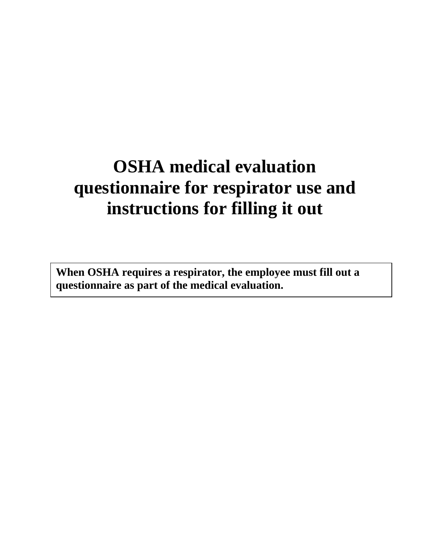## **OSHA medical evaluation questionnaire for respirator use and instructions for filling it out**

**When OSHA requires a respirator, the employee must fill out a questionnaire as part of the medical evaluation.**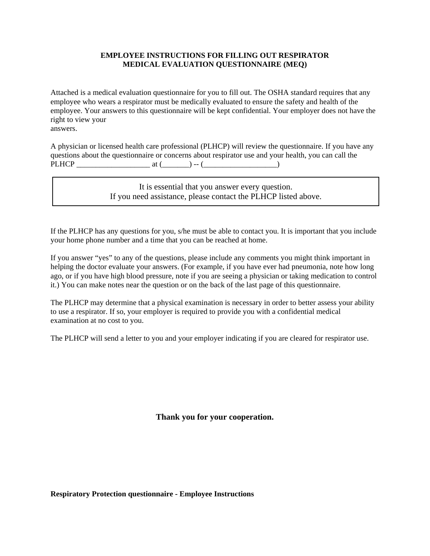## **EMPLOYEE INSTRUCTIONS FOR FILLING OUT RESPIRATOR MEDICAL EVALUATION QUESTIONNAIRE (MEQ)**

Attached is a medical evaluation questionnaire for you to fill out. The OSHA standard requires that any employee who wears a respirator must be medically evaluated to ensure the safety and health of the employee. Your answers to this questionnaire will be kept confidential. Your employer does not have the right to view your answers.

A physician or licensed health care professional (PLHCP) will review the questionnaire. If you have any questions about the questionnaire or concerns about respirator use and your health, you can call the PLHCP \_\_\_\_\_\_\_\_\_\_\_\_\_\_\_\_\_\_\_ at (\_\_\_\_\_\_\_) -- (\_\_\_\_\_\_\_\_\_\_\_\_\_\_\_\_\_\_\_)

> It is essential that you answer every question. If you need assistance, please contact the PLHCP listed above.

If the PLHCP has any questions for you, s/he must be able to contact you. It is important that you include your home phone number and a time that you can be reached at home.

If you answer "yes" to any of the questions, please include any comments you might think important in helping the doctor evaluate your answers. (For example, if you have ever had pneumonia, note how long ago, or if you have high blood pressure, note if you are seeing a physician or taking medication to control it.) You can make notes near the question or on the back of the last page of this questionnaire.

The PLHCP may determine that a physical examination is necessary in order to better assess your ability to use a respirator. If so, your employer is required to provide you with a confidential medical examination at no cost to you.

The PLHCP will send a letter to you and your employer indicating if you are cleared for respirator use.

**Thank you for your cooperation.**

**Respiratory Protection questionnaire - Employee Instructions**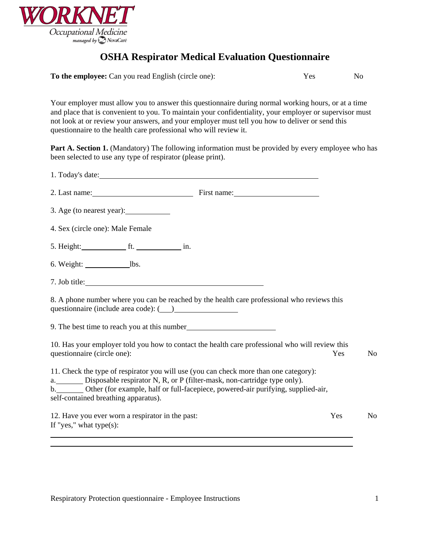

## **OSHA Respirator Medical Evaluation Questionnaire**

To the employee: Can you read English (circle one): Yes No

Your employer must allow you to answer this questionnaire during normal working hours, or at a time and place that is convenient to you. To maintain your confidentiality, your employer or supervisor must not look at or review your answers, and your employer must tell you how to deliver or send this questionnaire to the health care professional who will review it.

Part A. Section 1. (Mandatory) The following information must be provided by every employee who has been selected to use any type of respirator (please print).

| 1. Today's date:                                                                                                                                                                                                                                                                                    |     |                |
|-----------------------------------------------------------------------------------------------------------------------------------------------------------------------------------------------------------------------------------------------------------------------------------------------------|-----|----------------|
| 2. Last name: $\qquad \qquad$ First name:                                                                                                                                                                                                                                                           |     |                |
|                                                                                                                                                                                                                                                                                                     |     |                |
| 4. Sex (circle one): Male Female                                                                                                                                                                                                                                                                    |     |                |
|                                                                                                                                                                                                                                                                                                     |     |                |
|                                                                                                                                                                                                                                                                                                     |     |                |
| 7. Job title:                                                                                                                                                                                                                                                                                       |     |                |
| 8. A phone number where you can be reached by the health care professional who reviews this                                                                                                                                                                                                         |     |                |
|                                                                                                                                                                                                                                                                                                     |     |                |
| 10. Has your employer told you how to contact the health care professional who will review this<br>questionnaire (circle one):                                                                                                                                                                      | Yes | N <sub>0</sub> |
| 11. Check the type of respirator you will use (you can check more than one category):<br>a. Disposable respirator N, R, or P (filter-mask, non-cartridge type only).<br>b. Other (for example, half or full-facepiece, powered-air purifying, supplied-air,<br>self-contained breathing apparatus). |     |                |
| 12. Have you ever worn a respirator in the past:<br>If "yes," what type $(s)$ :                                                                                                                                                                                                                     | Yes | N <sub>0</sub> |
|                                                                                                                                                                                                                                                                                                     |     |                |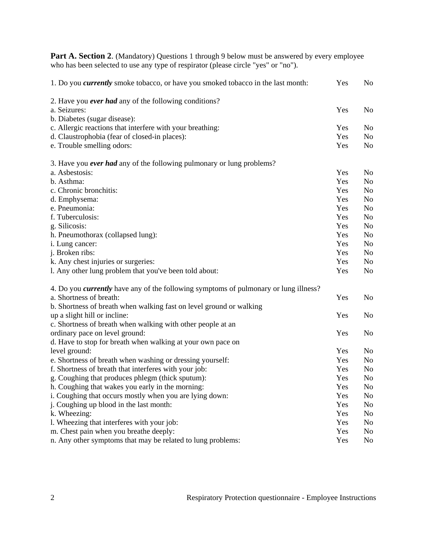Part A. Section 2. (Mandatory) Questions 1 through 9 below must be answered by every employee who has been selected to use any type of respirator (please circle "yes" or "no").

| 1. Do you <i>currently</i> smoke tobacco, or have you smoked tobacco in the last month:     | Yes        | No             |
|---------------------------------------------------------------------------------------------|------------|----------------|
| 2. Have you ever had any of the following conditions?                                       |            |                |
| a. Seizures:                                                                                | Yes        | N <sub>0</sub> |
| b. Diabetes (sugar disease):                                                                |            |                |
| c. Allergic reactions that interfere with your breathing:                                   | Yes        | No             |
| d. Claustrophobia (fear of closed-in places):                                               | Yes        | No.            |
| e. Trouble smelling odors:                                                                  | Yes        | No             |
| 3. Have you ever had any of the following pulmonary or lung problems?                       |            |                |
| a. Asbestosis:                                                                              | Yes        | No             |
| b. Asthma:                                                                                  | Yes        | No             |
| c. Chronic bronchitis:                                                                      | Yes        | No             |
| d. Emphysema:                                                                               | Yes        | No             |
| e. Pneumonia:                                                                               | Yes        | No             |
| f. Tuberculosis:                                                                            | Yes        | No             |
| g. Silicosis:                                                                               | Yes        | No             |
| h. Pneumothorax (collapsed lung):                                                           | Yes        | No             |
| i. Lung cancer:                                                                             | Yes        | No             |
| j. Broken ribs:                                                                             | Yes        | No             |
| k. Any chest injuries or surgeries:                                                         | Yes        | No             |
| l. Any other lung problem that you've been told about:                                      | Yes        | No             |
| 4. Do you <i>currently</i> have any of the following symptoms of pulmonary or lung illness? |            |                |
| a. Shortness of breath:                                                                     | Yes        | N <sub>o</sub> |
| b. Shortness of breath when walking fast on level ground or walking                         |            |                |
| up a slight hill or incline:                                                                | Yes        | N <sub>0</sub> |
| c. Shortness of breath when walking with other people at an                                 |            |                |
| ordinary pace on level ground:                                                              | Yes        | No.            |
| d. Have to stop for breath when walking at your own pace on                                 |            |                |
| level ground:                                                                               | Yes        | No             |
| e. Shortness of breath when washing or dressing yourself:                                   | Yes        | No             |
| f. Shortness of breath that interferes with your job:                                       | Yes        | No             |
| g. Coughing that produces phlegm (thick sputum):                                            | Yes        | No             |
| h. Coughing that wakes you early in the morning:                                            | Yes        | No             |
| i. Coughing that occurs mostly when you are lying down:                                     | Yes        | No             |
| j. Coughing up blood in the last month:                                                     | Yes        | N <sub>o</sub> |
| k. Wheezing:                                                                                | Yes        | No             |
| 1. Wheezing that interferes with your job:                                                  | Yes<br>Yes | No             |
| m. Chest pain when you breathe deeply:                                                      |            | No             |
| n. Any other symptoms that may be related to lung problems:                                 | Yes        | N <sub>o</sub> |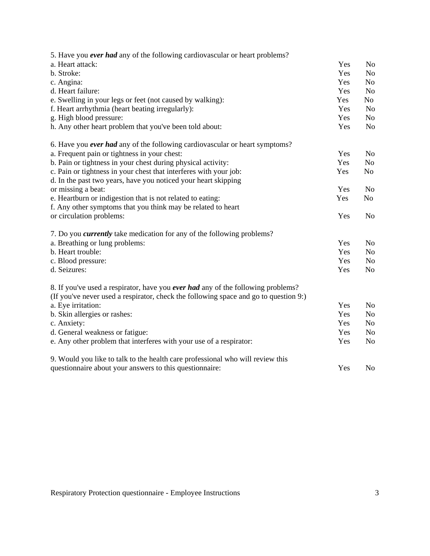| 5. Have you ever had any of the following cardiovascular or heart problems?          |     |                |
|--------------------------------------------------------------------------------------|-----|----------------|
| a. Heart attack:                                                                     | Yes | N <sub>0</sub> |
| b. Stroke:                                                                           | Yes | No             |
| c. Angina:                                                                           | Yes | N <sub>o</sub> |
| d. Heart failure:                                                                    | Yes | N <sub>o</sub> |
| e. Swelling in your legs or feet (not caused by walking):                            | Yes | N <sub>o</sub> |
| f. Heart arrhythmia (heart beating irregularly):                                     | Yes | No             |
| g. High blood pressure:                                                              | Yes | N <sub>o</sub> |
| h. Any other heart problem that you've been told about:                              | Yes | No             |
| 6. Have you ever had any of the following cardiovascular or heart symptoms?          |     |                |
| a. Frequent pain or tightness in your chest:                                         | Yes | N <sub>o</sub> |
| b. Pain or tightness in your chest during physical activity:                         | Yes | N <sub>o</sub> |
| c. Pain or tightness in your chest that interferes with your job:                    | Yes | No             |
| d. In the past two years, have you noticed your heart skipping                       |     |                |
| or missing a beat:                                                                   | Yes | N <sub>o</sub> |
| e. Heartburn or indigestion that is not related to eating:                           | Yes | N <sub>o</sub> |
| f. Any other symptoms that you think may be related to heart                         |     |                |
| or circulation problems:                                                             | Yes | No             |
| 7. Do you <i>currently</i> take medication for any of the following problems?        |     |                |
| a. Breathing or lung problems:                                                       | Yes | No             |
| b. Heart trouble:                                                                    | Yes | No             |
| c. Blood pressure:                                                                   | Yes | N <sub>o</sub> |
| d. Seizures:                                                                         | Yes | No             |
| 8. If you've used a respirator, have you ever had any of the following problems?     |     |                |
| (If you've never used a respirator, check the following space and go to question 9:) |     |                |
| a. Eye irritation:                                                                   | Yes | No             |
| b. Skin allergies or rashes:                                                         | Yes | N <sub>o</sub> |
| c. Anxiety:                                                                          | Yes | No             |
| d. General weakness or fatigue:                                                      | Yes | N <sub>o</sub> |
| e. Any other problem that interferes with your use of a respirator:                  | Yes | No             |
| 9. Would you like to talk to the health care professional who will review this       |     |                |
| questionnaire about your answers to this questionnaire:                              | Yes | N <sub>o</sub> |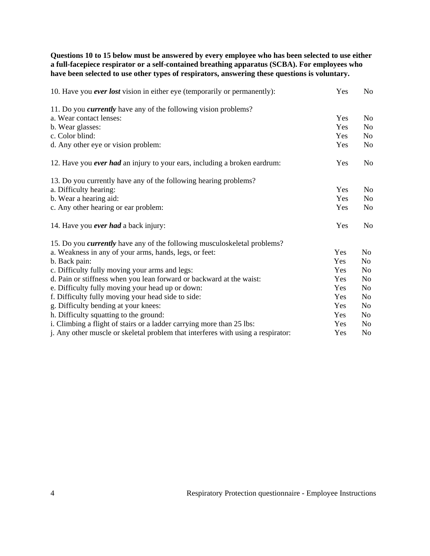**Questions 10 to 15 below must be answered by every employee who has been selected to use either a full-facepiece respirator or a self-contained breathing apparatus (SCBA). For employees who have been selected to use other types of respirators, answering these questions is voluntary.**

| 10. Have you <i>ever lost</i> vision in either eye (temporarily or permanently): | Yes | No             |
|----------------------------------------------------------------------------------|-----|----------------|
| 11. Do you <i>currently</i> have any of the following vision problems?           |     |                |
| a. Wear contact lenses:                                                          | Yes | N <sub>0</sub> |
| b. Wear glasses:                                                                 | Yes | No             |
| c. Color blind:                                                                  | Yes | N <sub>0</sub> |
| d. Any other eye or vision problem:                                              | Yes | N <sub>0</sub> |
| 12. Have you <i>ever had</i> an injury to your ears, including a broken eardrum: | Yes | No             |
| 13. Do you currently have any of the following hearing problems?                 |     |                |
| a. Difficulty hearing:                                                           | Yes | N <sub>0</sub> |
| b. Wear a hearing aid:                                                           | Yes | N <sub>o</sub> |
| c. Any other hearing or ear problem:                                             | Yes | No             |
| 14. Have you ever had a back injury:                                             | Yes | No             |
| 15. Do you <i>currently</i> have any of the following musculoskeletal problems?  |     |                |
| a. Weakness in any of your arms, hands, legs, or feet:                           | Yes | N <sub>o</sub> |
| b. Back pain:                                                                    | Yes | No.            |
| c. Difficulty fully moving your arms and legs:                                   | Yes | N <sub>0</sub> |
| d. Pain or stiffness when you lean forward or backward at the waist:             | Yes | N <sub>o</sub> |
| e. Difficulty fully moving your head up or down:                                 | Yes | No             |
| f. Difficulty fully moving your head side to side:                               | Yes | N <sub>0</sub> |
| g. Difficulty bending at your knees:                                             | Yes | No             |
| h. Difficulty squatting to the ground:                                           | Yes | No             |
| i. Climbing a flight of stairs or a ladder carrying more than 25 lbs:            | Yes | No.            |
| j. Any other muscle or skeletal problem that interferes with using a respirator: | Yes | No             |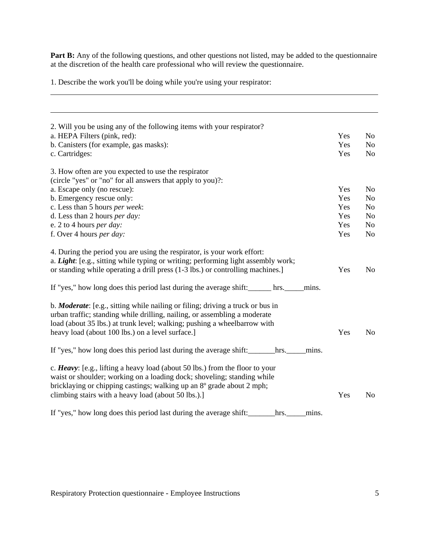Part B: Any of the following questions, and other questions not listed, may be added to the questionnaire at the discretion of the health care professional who will review the questionnaire.

1. Describe the work you'll be doing while you're using your respirator:

 $\overline{a}$ 

| 2. Will you be using any of the following items with your respirator?                                                                                                                                                                                                                       |     |                |
|---------------------------------------------------------------------------------------------------------------------------------------------------------------------------------------------------------------------------------------------------------------------------------------------|-----|----------------|
| a. HEPA Filters (pink, red):                                                                                                                                                                                                                                                                | Yes | N <sub>o</sub> |
| b. Canisters (for example, gas masks):                                                                                                                                                                                                                                                      | Yes | N <sub>o</sub> |
| c. Cartridges:                                                                                                                                                                                                                                                                              | Yes | N <sub>o</sub> |
| 3. How often are you expected to use the respirator                                                                                                                                                                                                                                         |     |                |
| (circle "yes" or "no" for all answers that apply to you)?:                                                                                                                                                                                                                                  |     |                |
| a. Escape only (no rescue):                                                                                                                                                                                                                                                                 | Yes | N <sub>o</sub> |
| b. Emergency rescue only:                                                                                                                                                                                                                                                                   | Yes | N <sub>0</sub> |
| c. Less than 5 hours per week:                                                                                                                                                                                                                                                              | Yes | N <sub>0</sub> |
| d. Less than 2 hours per day:                                                                                                                                                                                                                                                               | Yes | N <sub>0</sub> |
| e. 2 to 4 hours <i>per day</i> :                                                                                                                                                                                                                                                            | Yes | No             |
| f. Over 4 hours per day:                                                                                                                                                                                                                                                                    | Yes | N <sub>o</sub> |
| 4. During the period you are using the respirator, is your work effort:<br>a. Light: [e.g., sitting while typing or writing; performing light assembly work;<br>or standing while operating a drill press (1-3 lbs.) or controlling machines.]                                              | Yes | N <sub>0</sub> |
| If "yes," how long does this period last during the average shift: hrs.<br>mins.                                                                                                                                                                                                            |     |                |
| b. Moderate: [e.g., sitting while nailing or filing; driving a truck or bus in<br>urban traffic; standing while drilling, nailing, or assembling a moderate<br>load (about 35 lbs.) at trunk level; walking; pushing a wheelbarrow with<br>heavy load (about 100 lbs.) on a level surface.] | Yes | N <sub>0</sub> |
| If "yes," how long does this period last during the average shift:<br>hrs.<br>mins.                                                                                                                                                                                                         |     |                |
| c. Heavy: [e.g., lifting a heavy load (about 50 lbs.) from the floor to your<br>waist or shoulder; working on a loading dock; shoveling; standing while<br>bricklaying or chipping castings; walking up an 8° grade about 2 mph;<br>climbing stairs with a heavy load (about 50 lbs.).]     | Yes | N <sub>0</sub> |
| If "yes," how long does this period last during the average shift:<br>hrs.<br>mins.                                                                                                                                                                                                         |     |                |

Respiratory Protection questionnaire - Employee Instructions 5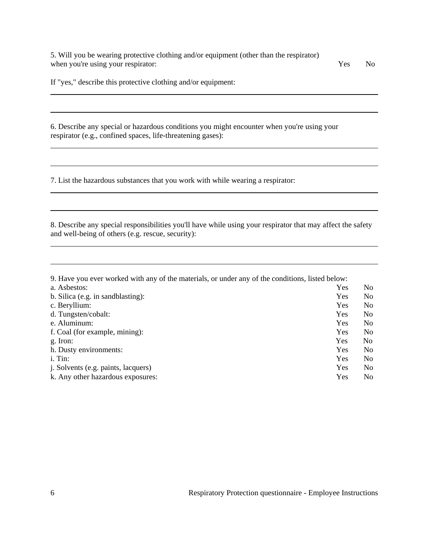5. Will you be wearing protective clothing and/or equipment (other than the respirator) when you're using your respirator: Yes No

 $\overline{a}$ 

 $\overline{a}$ 

 $\overline{a}$ 

 $\overline{a}$ 

 $\overline{a}$ 

If "yes," describe this protective clothing and/or equipment:

6. Describe any special or hazardous conditions you might encounter when you're using your respirator (e.g., confined spaces, life-threatening gases):

7. List the hazardous substances that you work with while wearing a respirator:

8. Describe any special responsibilities you'll have while using your respirator that may affect the safety and well-being of others (e.g. rescue, security):

9. Have you ever worked with any of the materials, or under any of the conditions, listed below: a. Asbestos: Yes No b. Silica (e.g. in sandblasting): Yes No c. Beryllium: Yes No d. Tungsten/cobalt: Yes No e. Aluminum: Yes No f. Coal (for example, mining): Yes No g. Iron: Yes No h. Dusty environments: Yes No i. Tin: Yes No j. Solvents (e.g. paints, lacquers) Yes No k. Any other hazardous exposures: Yes No

l

l